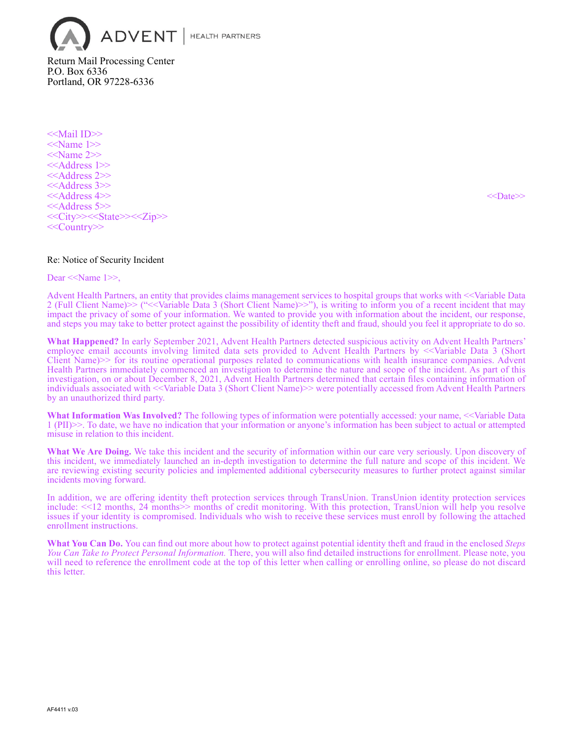

<<Mail ID>> <<Name 1>> <<Name 2>> <<Address 1>> <<Address 2>> <<Address 3>> <<Address 4>> <<Date>> <<Address 5>> <<City>><<State>><<Zip>> <<Country>>

Re: Notice of Security Incident

Dear <<Name 1>>,

Advent Health Partners, an entity that provides claims management services to hospital groups that works with <<Variable Data 2 (Full Client Name)>> ("<<Variable Data 3 (Short Client Name)>>"), is writing to inform you of a recent incident that may impact the privacy of some of your information. We wanted to provide you with information about the incident, our response, and steps you may take to better protect against the possibility of identity theft and fraud, should you feel it appropriate to do so.

**What Happened?** In early September 2021, Advent Health Partners detected suspicious activity on Advent Health Partners' employee email accounts involving limited data sets provided to Advent Health Partners by <<Variable Data 3 (Short Client Name)>> for its routine operational purposes related to communications with health insurance companies. Advent Health Partners immediately commenced an investigation to determine the nature and scope of the incident. As part of this investigation, on or about December 8, 2021, Advent Health Partners determined that certain files containing information of individuals associated with <<Variable Data 3 (Short Client Name)>> were potentially accessed from Advent Health Partners by an unauthorized third party.

What Information Was Involved? The following types of information were potentially accessed: your name, <<Variable Data 1 (PII)>>. To date, we have no indication that your information or anyone's information has been subject to actual or attempted misuse in relation to this incident.

**What We Are Doing.** We take this incident and the security of information within our care very seriously. Upon discovery of this incident, we immediately launched an in-depth investigation to determine the full nature and scope of this incident. We are reviewing existing security policies and implemented additional cybersecurity measures to further protect against similar incidents moving forward.

In addition, we are offering identity theft protection services through TransUnion. TransUnion identity protection services include: <<12 months, 24 months>> months of credit monitoring. With this protection, TransUnion will help you resolve issues if your identity is compromised. Individuals who wish to receive these services must enroll by following the attached enrollment instructions.

**What You Can Do.** You can find out more about how to protect against potential identity theft and fraud in the enclosed *Steps You Can Take to Protect Personal Information.* There, you will also find detailed instructions for enrollment. Please note, you will need to reference the enrollment code at the top of this letter when calling or enrolling online, so please do not discard this letter.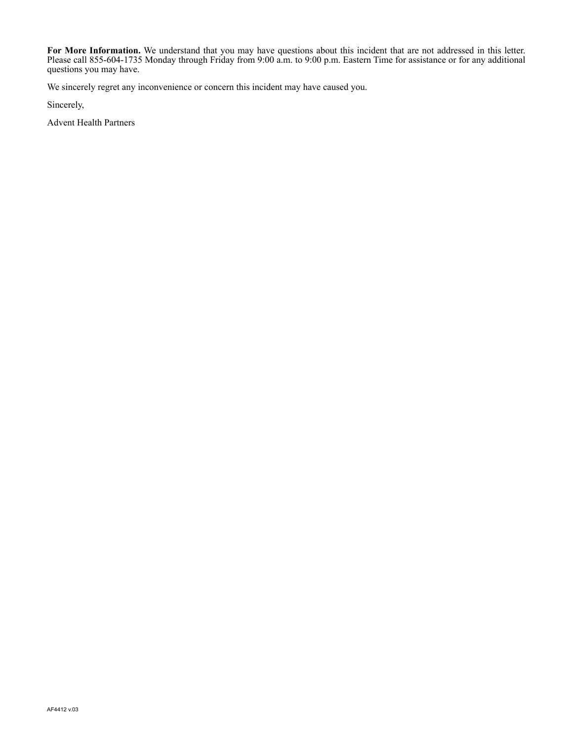**For More Information.** We understand that you may have questions about this incident that are not addressed in this letter. Please call 855-604-1735 Monday through Friday from 9:00 a.m. to 9:00 p.m. Eastern Time for assistance or for any additional questions you may have.

We sincerely regret any inconvenience or concern this incident may have caused you.

Sincerely,

Advent Health Partners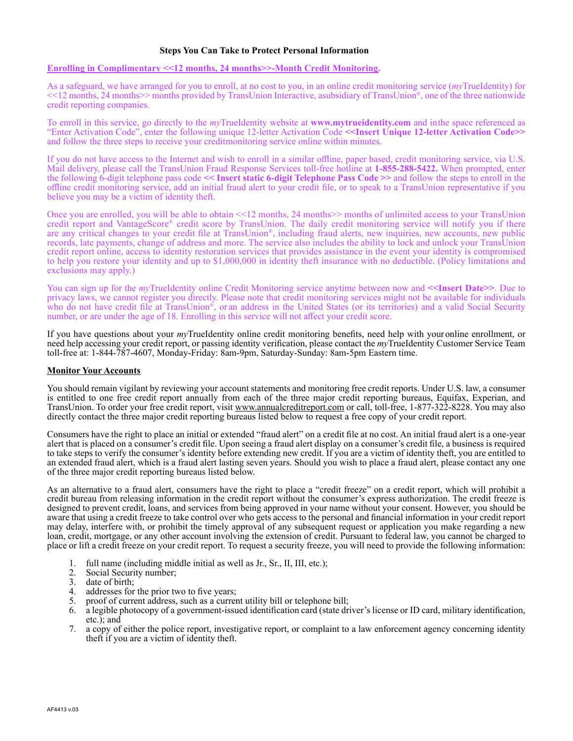## **Steps You Can Take to Protect Personal Information**

## **Enrolling in Complimentary <<12 months, 24 months>>-Month Credit Monitoring.**

As a safeguard, we have arranged for you to enroll, at no cost to you, in an online credit monitoring service *(my*TrueIdentity) for  $\leq$  24 months, 24 months provided by TransUnion Interactive, a subsidiary of TransUnion®, one of the three nationwide credit reporting companies.

To enroll in this service, go directly to the *my*TrueIdentity website at **www.mytrueidentity.com** and in the space referenced as "Enter Activation Code", enter the following unique 12-letter Activation Code **<<Insert Unique 12-letter Activation Code>>**  and follow the three steps to receive your credit monitoring service online within minutes.

If you do not have access to the Internet and wish to enroll in a similar offline, paper based, credit monitoring service, via U.S. Mail delivery, please call the TransUnion Fraud Response Services toll-free hotline at **1-855-288-5422.** When prompted, enter the following 6-digit telephone pass code **<< Insert static 6-digit Telephone Pass Code >>** and follow the steps to enroll in the offline credit monitoring service, add an initial fraud alert to your credit file, or to speak to a TransUnion representative if you believe you may be a victim of identity theft.

Once you are enrolled, you will be able to obtain <<12 months, 24 months>> months of unlimited access to your TransUnion credit report and VantageScore® credit score by TransUnion. The daily credit monitoring service will notify you if there are any critical changes to your credit file at TransUnion®, including fraud alerts, new inquiries, new accounts, new public records, late payments, change of address and more. The service also includes the ability to lock and unlock your TransUnion credit report online, access to identity restoration services that provides assistance in the event your identity is compromised to help you restore your identity and up to \$1,000,000 in identity theft insurance with no deductible. (Policy limitations and exclusions may apply.)

You can sign up for the *my*TrueIdentity online Credit Monitoring service anytime between now and <<**Insert Date>>**. Due to privacy laws, we cannot register you directly. Please note that credit monitoring services might not be available for individuals who do not have credit file at TransUnion®, or an address in the United States (or its territories) and a valid Social Security number, or are under the age of 18. Enrolling in this service will not affect your credit score.

If you have questions about your *my*TrueIdentity online credit monitoring benefits, need help with your online enrollment, or need help accessing your credit report, or passing identity verification, please contact the *my*TrueIdentity Customer Service Team toll-free at: 1-844-787-4607, Monday-Friday: 8am-9pm, Saturday-Sunday: 8am-5pm Eastern time.

## **Monitor Your Accounts**

You should remain vigilant by reviewing your account statements and monitoring free credit reports. Under U.S. law, a consumer is entitled to one free credit report annually from each of the three major credit reporting bureaus, Equifax, Experian, and TransUnion. To order your free credit report, visit www.annualcreditreport.com or call, toll-free, 1-877-322-8228. You may also directly contact the three major credit reporting bureaus listed below to request a free copy of your credit report.

Consumers have the right to place an initial or extended "fraud alert" on a credit file at no cost. An initial fraud alert is a one-year alert that is placed on a consumer's credit file. Upon seeing a fraud alert display on a consumer's credit file, a business is required to take steps to verify the consumer's identity before extending new credit. If you are a victim of identity theft, you are entitled to an extended fraud alert, which is a fraud alert lasting seven years. Should you wish to place a fraud alert, please contact any one of the three major credit reporting bureaus listed below.

As an alternative to a fraud alert, consumers have the right to place a "credit freeze" on a credit report, which will prohibit a credit bureau from releasing information in the credit report without the consumer's express authorization. The credit freeze is designed to prevent credit, loans, and services from being approved in your name without your consent. However, you should be aware that using a credit freeze to take control over who gets access to the personal and financial information in your credit report may delay, interfere with, or prohibit the timely approval of any subsequent request or application you make regarding a new loan, credit, mortgage, or any other account involving the extension of credit. Pursuant to federal law, you cannot be charged to place or lift a credit freeze on your credit report. To request a security freeze, you will need to provide the following information:

- 1. full name (including middle initial as well as Jr., Sr., II, III, etc.);
- 2. Social Security number;
- 3. date of birth;
- 4. addresses for the prior two to five years;
- 5. proof of current address, such as a current utility bill or telephone bill;
- 6. a legible photocopy of a government-issued identification card (state driver's license or ID card, military identification, etc.); and
- 7. a copy of either the police report, investigative report, or complaint to a law enforcement agency concerning identity theft if you are a victim of identity theft.